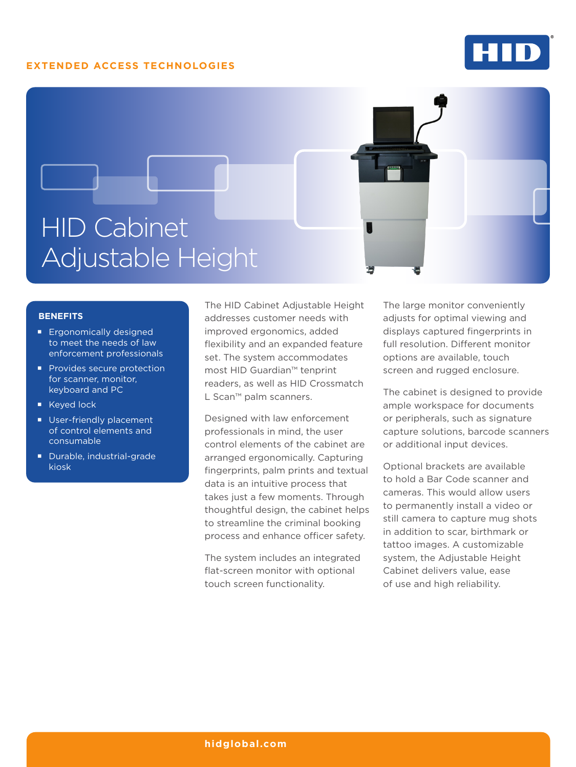#### **EXTENDED ACCESS TECHNOLOGIES**



# HID Cabinet Adjustable Height

#### **BENEFITS**

- **Ergonomically designed** to meet the needs of law enforcement professionals
- **Provides secure protection** for scanner, monitor, keyboard and PC
- Keyed lock
- **User-friendly placement** of control elements and consumable
- Durable, industrial-grade kiosk

The HID Cabinet Adjustable Height addresses customer needs with improved ergonomics, added flexibility and an expanded feature set. The system accommodates most HID Guardian™ tenprint readers, as well as HID Crossmatch L Scan™ palm scanners.

Designed with law enforcement professionals in mind, the user control elements of the cabinet are arranged ergonomically. Capturing fingerprints, palm prints and textual data is an intuitive process that takes just a few moments. Through thoughtful design, the cabinet helps to streamline the criminal booking process and enhance officer safety.

The system includes an integrated flat-screen monitor with optional touch screen functionality.

The large monitor conveniently adjusts for optimal viewing and displays captured fingerprints in full resolution. Different monitor options are available, touch screen and rugged enclosure.

The cabinet is designed to provide ample workspace for documents or peripherals, such as signature capture solutions, barcode scanners or additional input devices.

Optional brackets are available to hold a Bar Code scanner and cameras. This would allow users to permanently install a video or still camera to capture mug shots in addition to scar, birthmark or tattoo images. A customizable system, the Adjustable Height Cabinet delivers value, ease of use and high reliability.